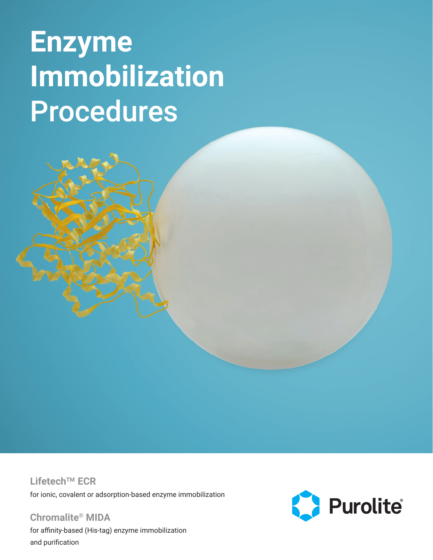# **Enzyme Immobilization** Procedures

**LifetechTM ECR** for ionic, covalent or adsorption-based enzyme immobilization

**Chromalite® MIDA** for affinity-based (His-tag) enzyme immobilization and purification

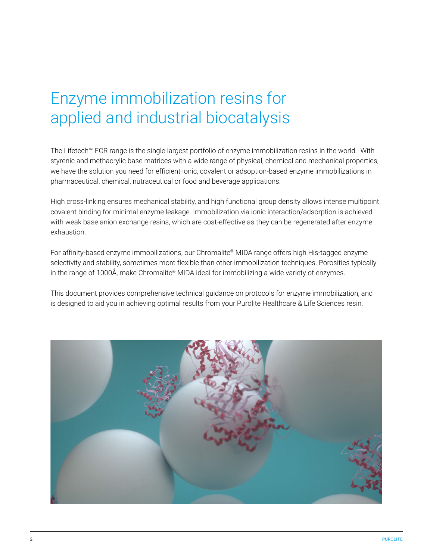### Enzyme immobilization resins for applied and industrial biocatalysis

The Lifetech™ ECR range is the single largest portfolio of enzyme immobilization resins in the world. With styrenic and methacrylic base matrices with a wide range of physical, chemical and mechanical properties, we have the solution you need for efficient ionic, covalent or adsoption-based enzyme immobilizations in pharmaceutical, chemical, nutraceutical or food and beverage applications.

High cross-linking ensures mechanical stability, and high functional group density allows intense multipoint covalent binding for minimal enzyme leakage. Immobilization via ionic interaction/adsorption is achieved with weak base anion exchange resins, which are cost-effective as they can be regenerated after enzyme exhaustion.

For affinity-based enzyme immobilizations, our Chromalite® MIDA range offers high His-tagged enzyme selectivity and stability, sometimes more flexible than other immobilization techniques. Porosities typically in the range of 1000Å, make Chromalite® MIDA ideal for immobilizing a wide variety of enzymes.

This document provides comprehensive technical guidance on protocols for enzyme immobilization, and is designed to aid you in achieving optimal results from your Purolite Healthcare & Life Sciences resin.

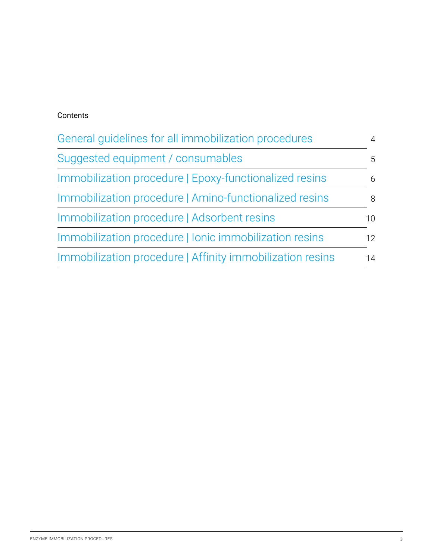#### Contents

| General quidelines for all immobilization procedures      |                 |  |
|-----------------------------------------------------------|-----------------|--|
| Suggested equipment / consumables                         | 5               |  |
| Immobilization procedure   Epoxy-functionalized resins    | 6               |  |
| Immobilization procedure   Amino-functionalized resins    | 8               |  |
| Immobilization procedure   Adsorbent resins               | 10 <sup>1</sup> |  |
| Immobilization procedure   Ionic immobilization resins    | 12              |  |
| Immobilization procedure   Affinity immobilization resins | 14              |  |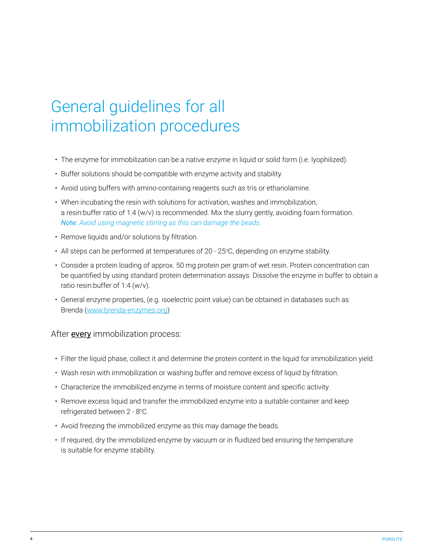### <span id="page-3-0"></span>General guidelines for all immobilization procedures

- The enzyme for immobilization can be a native enzyme in liquid or solid form (i.e. lyophilized).
- Buffer solutions should be compatible with enzyme activity and stability.
- Avoid using buffers with amino-containing reagents such as tris or ethanolamine.
- When incubating the resin with solutions for activation, washes and immobilization, a resin:buffer ratio of 1:4 (w/v) is recommended. Mix the slurry gently, avoiding foam formation. *Note: Avoid using magnetic stirring as this can damage the beads.*
- Remove liquids and/or solutions by filtration.
- All steps can be performed at temperatures of 20 25°C, depending on enzyme stability.
- Consider a protein loading of approx. 50 mg protein per gram of wet resin. Protein concentration can be quantified by using standard protein determination assays. Dissolve the enzyme in buffer to obtain a ratio resin:buffer of 1:4 (w/v).
- General enzyme properties, (e.g. isoelectric point value) can be obtained in databases such as Brenda ([www.brenda-enzymes.org\)](http://www.brenda-enzymes.org)

#### After **every** immobilization process:

- Filter the liquid phase, collect it and determine the protein content in the liquid for immobilization yield.
- Wash resin with immobilization or washing buffer and remove excess of liquid by filtration.
- Characterize the immobilized enzyme in terms of moisture content and specific activity.
- Remove excess liquid and transfer the immobilized enzyme into a suitable container and keep refrigerated between 2 - 8°C.
- Avoid freezing the immobilized enzyme as this may damage the beads.
- If required, dry the immobilized enzyme by vacuum or in fluidized bed ensuring the temperature is suitable for enzyme stability.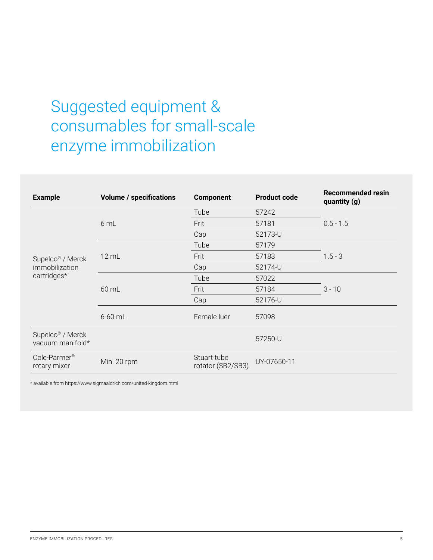### <span id="page-4-0"></span>Suggested equipment & consumables for small-scale enzyme immobilization

| <b>Example</b>                                                | <b>Volume / specifications</b> | <b>Component</b>                 | <b>Product code</b> | <b>Recommended resin</b><br>quantity (g) |
|---------------------------------------------------------------|--------------------------------|----------------------------------|---------------------|------------------------------------------|
| Supelco <sup>®</sup> / Merck<br>immobilization<br>cartridges* | 6 mL                           | Tube                             | 57242               |                                          |
|                                                               |                                | Frit                             | 57181               | $0.5 - 1.5$                              |
|                                                               |                                | Cap                              | 52173-U             |                                          |
|                                                               | $12 \text{ mL}$                | Tube                             | 57179               | $1.5 - 3$                                |
|                                                               |                                | Frit                             | 57183               |                                          |
|                                                               |                                | Cap                              | 52174-U             |                                          |
|                                                               | 60 mL                          | Tube                             | 57022               |                                          |
|                                                               |                                | Frit                             | 57184               | $3 - 10$                                 |
|                                                               |                                | Cap                              | 52176-U             |                                          |
|                                                               | $6-60$ mL                      | Female luer                      | 57098               |                                          |
| Supelco <sup>®</sup> / Merck<br>vacuum manifold*              |                                |                                  | 57250-U             |                                          |
| Cole-Parmer <sup>®</sup><br>rotary mixer                      | Min. 20 rpm                    | Stuart tube<br>rotator (SB2/SB3) | UY-07650-11         |                                          |

\* available from https://www.sigmaaldrich.com/united-kingdom.html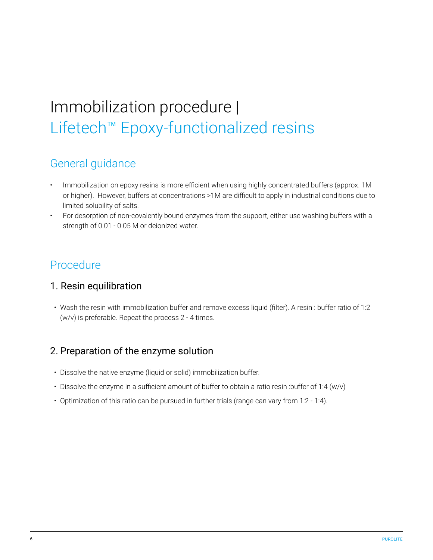# <span id="page-5-0"></span>Immobilization procedure | Lifetech™ Epoxy-functionalized resins

### General guidance

- Immobilization on epoxy resins is more efficient when using highly concentrated buffers (approx. 1M or higher). However, buffers at concentrations >1M are difficult to apply in industrial conditions due to limited solubility of salts.
- For desorption of non-covalently bound enzymes from the support, either use washing buffers with a strength of 0.01 - 0.05 M or deionized water.

#### Procedure

#### 1. Resin equilibration

• Wash the resin with immobilization buffer and remove excess liquid (filter). A resin : buffer ratio of 1:2 (w/v) is preferable. Repeat the process 2 - 4 times.

#### 2. Preparation of the enzyme solution

- Dissolve the native enzyme (liquid or solid) immobilization buffer.
- Dissolve the enzyme in a sufficient amount of buffer to obtain a ratio resin :buffer of 1:4 (w/v)
- Optimization of this ratio can be pursued in further trials (range can vary from 1:2 1:4).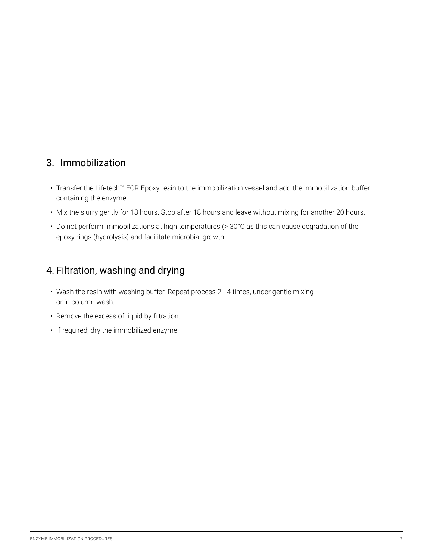#### 3. Immobilization

- Transfer the Lifetech™ ECR Epoxy resin to the immobilization vessel and add the immobilization buffer containing the enzyme.
- Mix the slurry gently for 18 hours. Stop after 18 hours and leave without mixing for another 20 hours.
- Do not perform immobilizations at high temperatures (> 30°C as this can cause degradation of the epoxy rings (hydrolysis) and facilitate microbial growth.

#### 4. Filtration, washing and drying

- Wash the resin with washing buffer. Repeat process 2 4 times, under gentle mixing or in column wash.
- Remove the excess of liquid by filtration.
- If required, dry the immobilized enzyme.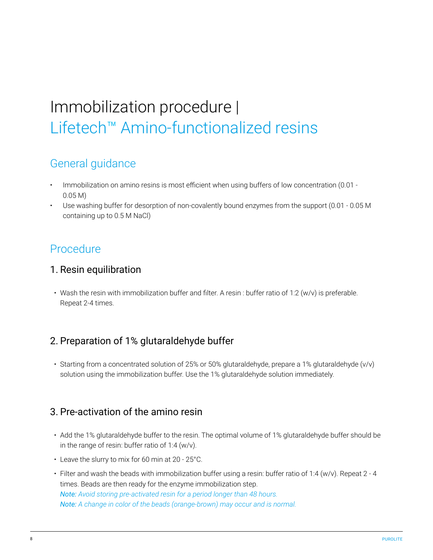# <span id="page-7-0"></span>Immobilization procedure | Lifetech™ Amino-functionalized resins

### General guidance

- Immobilization on amino resins is most efficient when using buffers of low concentration (0.01 0.05 M)
- Use washing buffer for desorption of non-covalently bound enzymes from the support (0.01 0.05 M containing up to 0.5 M NaCl)

#### Procedure

#### 1. Resin equilibration

• Wash the resin with immobilization buffer and filter. A resin : buffer ratio of 1:2 (w/v) is preferable. Repeat 2-4 times.

#### 2. Preparation of 1% glutaraldehyde buffer

• Starting from a concentrated solution of 25% or 50% glutaraldehyde, prepare a 1% glutaraldehyde (v/v) solution using the immobilization buffer. Use the 1% glutaraldehyde solution immediately.

#### 3. Pre-activation of the amino resin

- Add the 1% glutaraldehyde buffer to the resin. The optimal volume of 1% glutaraldehyde buffer should be in the range of resin: buffer ratio of 1:4 (w/v).
- Leave the slurry to mix for 60 min at 20 25°C.
- Filter and wash the beads with immobilization buffer using a resin: buffer ratio of 1:4 (w/v). Repeat 2 4 times. Beads are then ready for the enzyme immobilization step. *Note: Avoid storing pre-activated resin for a period longer than 48 hours. Note: A change in color of the beads (orange-brown) may occur and is normal.*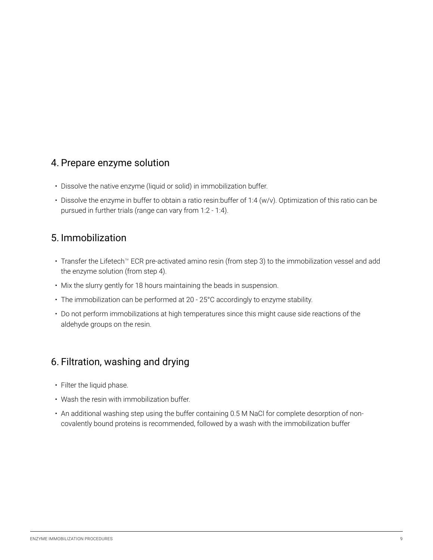#### 4. Prepare enzyme solution

- Dissolve the native enzyme (liquid or solid) in immobilization buffer.
- Dissolve the enzyme in buffer to obtain a ratio resin:buffer of 1:4 (w/v). Optimization of this ratio can be pursued in further trials (range can vary from 1:2 - 1:4).

#### 5. Immobilization

- Transfer the Lifetech™ ECR pre-activated amino resin (from step 3) to the immobilization vessel and add the enzyme solution (from step 4).
- Mix the slurry gently for 18 hours maintaining the beads in suspension.
- The immobilization can be performed at 20 25°C accordingly to enzyme stability.
- Do not perform immobilizations at high temperatures since this might cause side reactions of the aldehyde groups on the resin.

#### 6. Filtration, washing and drying

- Filter the liquid phase.
- Wash the resin with immobilization buffer.
- An additional washing step using the buffer containing 0.5 M NaCl for complete desorption of noncovalently bound proteins is recommended, followed by a wash with the immobilization buffer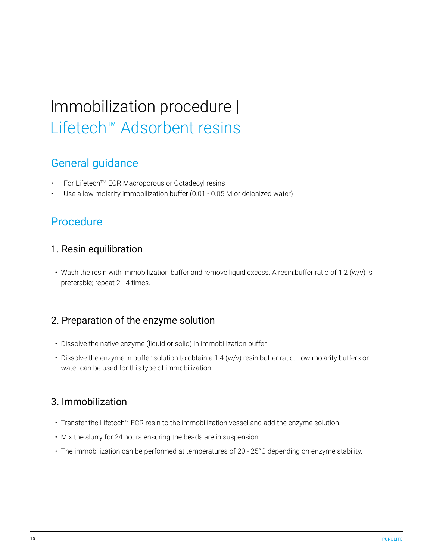## <span id="page-9-0"></span>Immobilization procedure | Lifetech™ Adsorbent resins

### General guidance

- For Lifetech™ ECR Macroporous or Octadecyl resins
- Use a low molarity immobilization buffer (0.01 0.05 M or deionized water)

#### **Procedure**

#### 1. Resin equilibration

• Wash the resin with immobilization buffer and remove liquid excess. A resin:buffer ratio of 1:2 (w/v) is preferable; repeat 2 - 4 times.

#### 2. Preparation of the enzyme solution

- Dissolve the native enzyme (liquid or solid) in immobilization buffer.
- Dissolve the enzyme in buffer solution to obtain a 1:4 (w/v) resin:buffer ratio. Low molarity buffers or water can be used for this type of immobilization.

#### 3. Immobilization

- Transfer the Lifetech™ ECR resin to the immobilization vessel and add the enzyme solution.
- Mix the slurry for 24 hours ensuring the beads are in suspension.
- The immobilization can be performed at temperatures of 20 25°C depending on enzyme stability.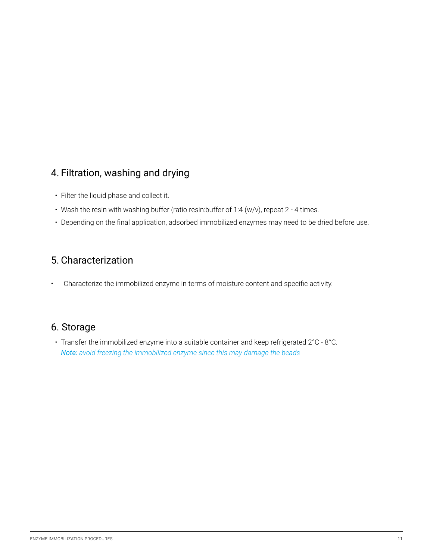#### 4. Filtration, washing and drying

- Filter the liquid phase and collect it.
- Wash the resin with washing buffer (ratio resin:buffer of 1:4 (w/v), repeat 2 4 times.
- Depending on the final application, adsorbed immobilized enzymes may need to be dried before use.

#### 5. Characterization

• Characterize the immobilized enzyme in terms of moisture content and specific activity.

#### 6. Storage

• Transfer the immobilized enzyme into a suitable container and keep refrigerated 2°C - 8°C. *Note: avoid freezing the immobilized enzyme since this may damage the beads*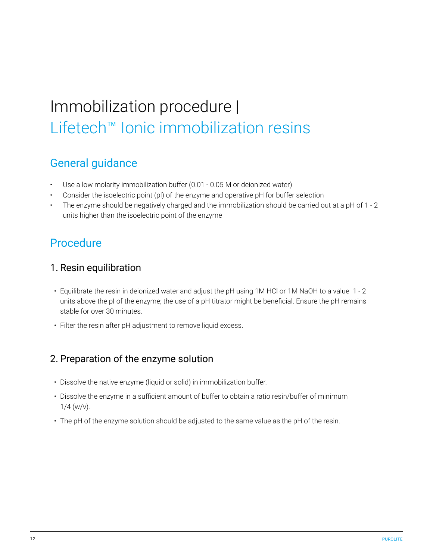# Immobilization procedure | Lifetech™ Ionic immobilization resins

### General guidance

- Use a low molarity immobilization buffer (0.01 0.05 M or deionized water)
- Consider the isoelectric point (pl) of the enzyme and operative pH for buffer selection
- The enzyme should be negatively charged and the immobilization should be carried out at a pH of 1 2 units higher than the isoelectric point of the enzyme

#### **Procedure**

#### 1. Resin equilibration

- Equilibrate the resin in deionized water and adjust the pH using 1M HCl or 1M NaOH to a value 1 2 units above the pI of the enzyme; the use of a pH titrator might be beneficial. Ensure the pH remains stable for over 30 minutes.
- Filter the resin after pH adjustment to remove liquid excess.

#### 2. Preparation of the enzyme solution

- Dissolve the native enzyme (liquid or solid) in immobilization buffer.
- Dissolve the enzyme in a sufficient amount of buffer to obtain a ratio resin/buffer of minimum  $1/4$  (w/v).
- The pH of the enzyme solution should be adjusted to the same value as the pH of the resin.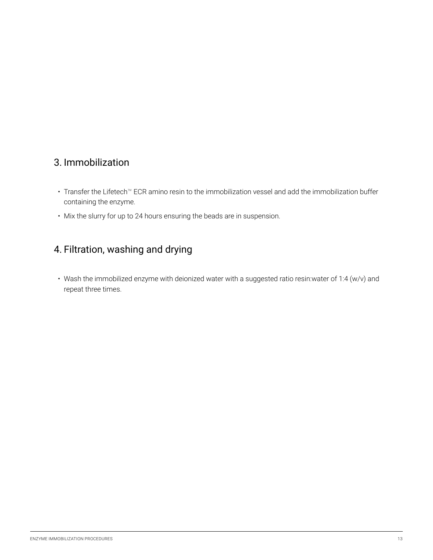#### <span id="page-12-0"></span>3. Immobilization

- Transfer the Lifetech™ ECR amino resin to the immobilization vessel and add the immobilization buffer containing the enzyme.
- Mix the slurry for up to 24 hours ensuring the beads are in suspension.

#### 4. Filtration, washing and drying

• Wash the immobilized enzyme with deionized water with a suggested ratio resin:water of 1:4 (w/v) and repeat three times.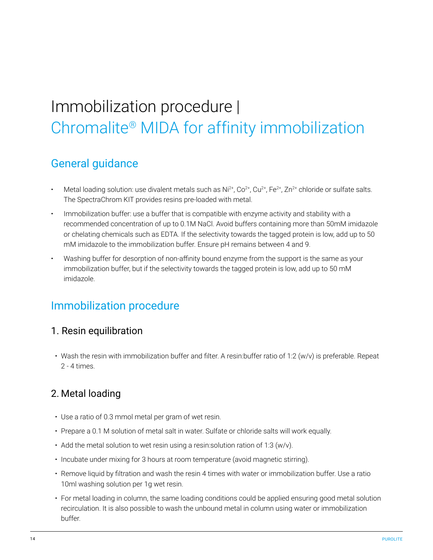# Immobilization procedure | Chromalite® MIDA for affinity immobilization

### General guidance

- Metal loading solution: use divalent metals such as  $Ni^{2+}$ ,  $Co^{2+}$ ,  $Cu^{2+}$ ,  $Fe^{2+}$ ,  $Zn^{2+}$  chloride or sulfate salts. The SpectraChrom KIT provides resins pre-loaded with metal.
- Immobilization buffer: use a buffer that is compatible with enzyme activity and stability with a recommended concentration of up to 0.1M NaCl. Avoid buffers containing more than 50mM imidazole or chelating chemicals such as EDTA. If the selectivity towards the tagged protein is low, add up to 50 mM imidazole to the immobilization buffer. Ensure pH remains between 4 and 9.
- Washing buffer for desorption of non-affinity bound enzyme from the support is the same as your immobilization buffer, but if the selectivity towards the tagged protein is low, add up to 50 mM imidazole.

#### Immobilization procedure

#### 1. Resin equilibration

• Wash the resin with immobilization buffer and filter. A resin:buffer ratio of 1:2 (w/v) is preferable. Repeat 2 - 4 times.

#### 2. Metal loading

- Use a ratio of 0.3 mmol metal per gram of wet resin.
- Prepare a 0.1 M solution of metal salt in water. Sulfate or chloride salts will work equally.
- Add the metal solution to wet resin using a resin:solution ration of 1:3 (w/v).
- Incubate under mixing for 3 hours at room temperature (avoid magnetic stirring).
- Remove liquid by filtration and wash the resin 4 times with water or immobilization buffer. Use a ratio 10ml washing solution per 1g wet resin.
- For metal loading in column, the same loading conditions could be applied ensuring good metal solution recirculation. It is also possible to wash the unbound metal in column using water or immobilization buffer.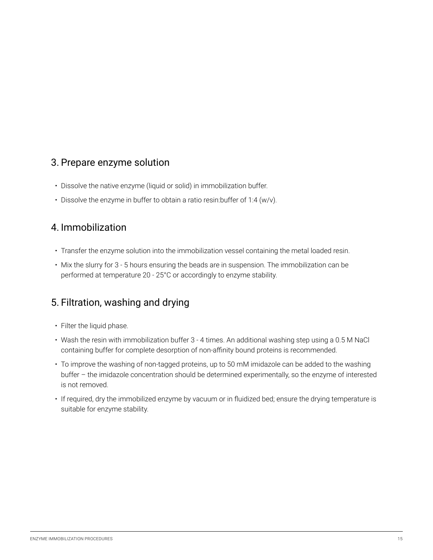#### <span id="page-14-0"></span>3. Prepare enzyme solution

- Dissolve the native enzyme (liquid or solid) in immobilization buffer.
- Dissolve the enzyme in buffer to obtain a ratio resin:buffer of 1:4 (w/v).

#### 4. Immobilization

- Transfer the enzyme solution into the immobilization vessel containing the metal loaded resin.
- Mix the slurry for 3 5 hours ensuring the beads are in suspension. The immobilization can be performed at temperature 20 - 25°C or accordingly to enzyme stability.

#### 5. Filtration, washing and drying

- Filter the liquid phase.
- Wash the resin with immobilization buffer 3 4 times. An additional washing step using a 0.5 M NaCl containing buffer for complete desorption of non-affinity bound proteins is recommended.
- To improve the washing of non-tagged proteins, up to 50 mM imidazole can be added to the washing buffer – the imidazole concentration should be determined experimentally, so the enzyme of interested is not removed.
- If required, dry the immobilized enzyme by vacuum or in fluidized bed; ensure the drying temperature is suitable for enzyme stability.